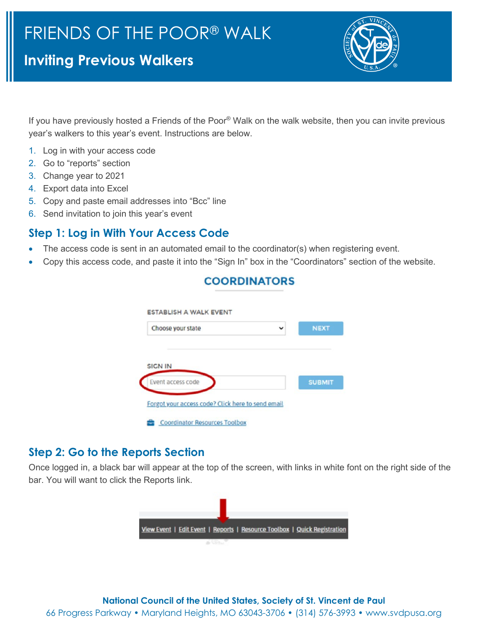# **Inviting Previous Walkers**



If you have previously hosted a Friends of the Poor® Walk on the walk website, then you can invite previous year's walkers to this year's event. Instructions are below.

- 1. Log in with your access code
- 2. Go to "reports" section
- 3. Change year to 2021
- 4. Export data into Excel
- 5. Copy and paste email addresses into "Bcc" line
- 6. Send invitation to join this year's event

### **Step 1: Log in With Your Access Code**

- The access code is sent in an automated email to the coordinator(s) when registering event.
- Copy this access code, and paste it into the "Sign In" box in the "Coordinators" section of the website.

COODDINATORS

| Choose your state | $\checkmark$ | <b>NEXT</b>   |
|-------------------|--------------|---------------|
|                   |              |               |
|                   |              |               |
|                   |              |               |
| <b>SICN IN</b>    |              |               |
| Event access code |              | <b>SUBMIT</b> |

## **Step 2: Go to the Reports Section**

Once logged in, a black bar will appear at the top of the screen, with links in white font on the right side of the bar. You will want to click the Reports link.